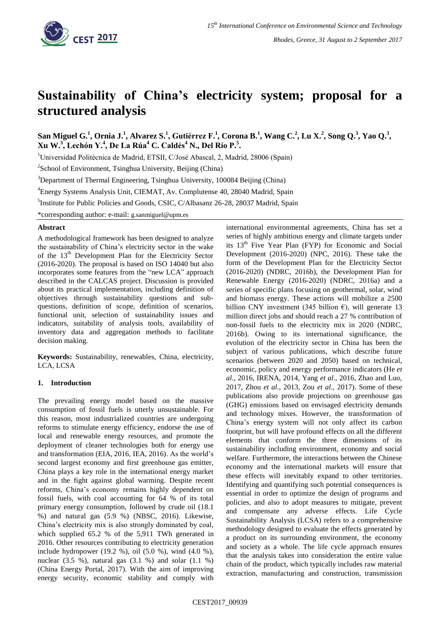

# **Sustainability of China's electricity system; proposal for a structured analysis**

San Miguel G.<sup>1</sup>, Ornia J.<sup>1</sup>, Alvarez S.<sup>1</sup>, Gutiérrez F.<sup>1</sup>, Corona B.<sup>1</sup>, Wang C.<sup>2</sup>, Lu X.<sup>2</sup>, Song Q.<sup>3</sup>, Yao Q.<sup>3</sup>, **Xu W. 3 , Lechón Y.<sup>4</sup> , De La Rúa<sup>4</sup> C. Caldés<sup>4</sup> N., Del Río P.<sup>5</sup> .**

<sup>1</sup>Universidad Politécnica de Madrid, ETSII, C/José Abascal, 2, Madrid, 28006 (Spain)

<sup>2</sup>School of Environment, Tsinghua University, Beijing (China)

<sup>3</sup>Department of Thermal Engineering, Tsinghua University, 100084 Beijing (China)

<sup>4</sup>Energy Systems Analysis Unit, CIEMAT, Av. Complutense 40, 28040 Madrid, Spain

<sup>5</sup>Institute for Public Policies and Goods, CSIC, C/Albasanz 26-28, 28037 Madrid, Spain

\*corresponding author: e-mail: g.sanmiguel@upm.es

### **Abstract**

A methodological framework has been designed to analyze the sustainability of China's electricity sector in the wake of the 13<sup>th</sup> Development Plan for the Electricity Sector (2016-2020). The proposal is based on ISO 14040 but also incorporates some features from the "new LCA" approach described in the CALCAS project. Discussion is provided about its practical implementation, including definition of objectives through sustainability questions and subquestions, definition of scope, definition of scenarios, functional unit, selection of sustainability issues and indicators, suitability of analysis tools, availability of inventory data and aggregation methods to facilitate decision making.

**Keywords:** Sustainability, renewables, China, electricity, LCA, LCSA

# **1. Introduction**

The prevailing energy model based on the massive consumption of fossil fuels is utterly unsustainable. For this reason, most industrialized countries are undergoing reforms to stimulate energy efficiency, endorse the use of local and renewable energy resources, and promote the deployment of cleaner technologies both for energy use and transformation (EIA, 2016, IEA, 2016). As the world's second largest economy and first greenhouse gas emitter, China plays a key role in the international energy market and in the fight against global warming. Despite recent reforms, China's economy remains highly dependent on fossil fuels, with coal accounting for 64 % of its total primary energy consumption, followed by crude oil (18.1 %) and natural gas (5.9 %) (NBSC, 2016). Likewise, China's electricity mix is also strongly dominated by coal, which supplied 65.2 % of the 5,911 TWh generated in 2016. Other resources contributing to electricity generation include hydropower (19.2 %), oil (5.0 %), wind (4.0 %), nuclear (3.5 %), natural gas (3.1 %) and solar (1.1 %) (China Energy Portal, 2017). With the aim of improving energy security, economic stability and comply with international environmental agreements, China has set a series of highly ambitious energy and climate targets under its  $13<sup>th</sup>$  Five Year Plan (FYP) for Economic and Social Development (2016-2020) (NPC, 2016). These take the form of the Development Plan for the Electricity Sector (2016-2020) (NDRC, 2016b), the Development Plan for Renewable Energy (2016-2020) (NDRC, 2016a) and a series of specific plans focusing on geothermal, solar, wind and biomass energy. These actions will mobilize a 2500 billion CNY investment (345 billion  $\epsilon$ ), will generate 13 million direct jobs and should reach a 27 % contribution of non-fossil fuels to the electricity mix in 2020 (NDRC, 2016b). Owing to its international significance, the evolution of the electricity sector in China has been the subject of various publications, which describe future scenarios (between 2020 and 2050) based on technical, economic, policy and energy performance indicators (He *et al*., 2016, IRENA, 2014, Yang *et al*., 2016, Zhao and Luo, 2017, Zhou *et al*., 2013, Zou *et al*., 2017). Some of these publications also provide projections on greenhouse gas (GHG) emissions based on envisaged electricity demands and technology mixes. However, the transformation of China's energy system will not only affect its carbon footprint, but will have profound effects on all the different elements that conform the three dimensions of its sustainability including environment, economy and social welfare. Furthermore, the interactions between the Chinese economy and the international markets will ensure that these effects will inevitably expand to other territories. Identifying and quantifying such potential consequences is essential in order to optimize the design of programs and policies, and also to adopt measures to mitigate, prevent and compensate any adverse effects. Life Cycle Sustainability Analysis (LCSA) refers to a comprehensive methodology designed to evaluate the effects generated by a product on its surrounding environment, the economy and society as a whole. The life cycle approach ensures that the analysis takes into consideration the entire value chain of the product, which typically includes raw material extraction, manufacturing and construction, transmission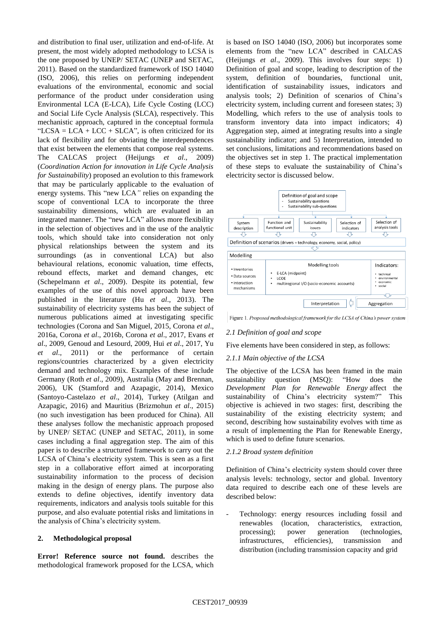and distribution to final user, utilization and end-of-life. At present, the most widely adopted methodology to LCSA is the one proposed by UNEP/ SETAC (UNEP and SETAC, 2011). Based on the standardized framework of ISO 14040 (ISO, 2006), this relies on performing independent evaluations of the environmental, economic and social performance of the product under consideration using Environmental LCA (E-LCA), Life Cycle Costing (LCC) and Social Life Cycle Analysis (SLCA), respectively. This mechanistic approach, captured in the conceptual formula "LCSA = LCA + LCC + SLCA", is often criticized for its lack of flexibility and for obviating the interdependences that exist between the elements that compose real systems. The CALCAS project (Heijungs *et al*., 2009) (*Coordination Action for innovation in Life Cycle Analysis for Sustainability*) proposed an evolution to this framework that may be particularly applicable to the evaluation of energy systems. This "new LCA" relies on expanding the scope of conventional LCA to incorporate the three sustainability dimensions, which are evaluated in an integrated manner. The "new LCA" allows more flexibility in the selection of objectives and in the use of the analytic tools, which should take into consideration not only physical relationships between the system and its surroundings (as in conventional LCA) but also behavioural relations, economic valuation, time effects, rebound effects, market and demand changes, etc (Schepelmann *et al*., 2009). Despite its potential, few examples of the use of this novel approach have been published in the literature (Hu *et al*., 2013). The sustainability of electricity systems has been the subject of numerous publications aimed at investigating specific technologies (Corona and San Miguel, 2015, Corona *et al*., 2016a, Corona *et al*., 2016b, Corona *et al*., 2017, Evans *et al*., 2009, Genoud and Lesourd, 2009, Hui *et al*., 2017, Yu *et al*., 2011) or the performance of certain regions/countries characterized by a given electricity demand and technology mix. Examples of these include Germany (Roth *et al*., 2009), Australia (May and Brennan, 2006), UK (Stamford and Azapagic, 2014), Mexico (Santoyo-Castelazo *et al*., 2014), Turkey (Atilgan and Azapagic, 2016) and Mauritius (Brizmohun *et al*., 2015) (no such investigation has been produced for China). All these analyses follow the mechanistic approach proposed by UNEP/ SETAC (UNEP and SETAC, 2011), in some cases including a final aggregation step. The aim of this paper is to describe a structured framework to carry out the LCSA of China's electricity system. This is seen as a first step in a collaborative effort aimed at incorporating sustainability information to the process of decision making in the design of energy plans. The purpose also extends to define objectives, identify inventory data requirements, indicators and analysis tools suitable for this purpose, and also evaluate potential risks and limitations in the analysis of China's electricity system.

# **2. Methodological proposal**

**Error! Reference source not found.** describes the methodological framework proposed for the LCSA, which is based on ISO 14040 (ISO, 2006) but incorporates some elements from the "new LCA" described in CALCAS (Heijungs *et al*., 2009). This involves four steps: 1) Definition of goal and scope, leading to description of the system, definition of boundaries, functional unit, identification of sustainability issues, indicators and analysis tools; 2) Definition of scenarios of China's electricity system, including current and foreseen states; 3) Modelling, which refers to the use of analysis tools to transform inventory data into impact indicators; 4) Aggregation step, aimed at integrating results into a single sustainability indicator; and 5) Interpretation, intended to set conclusions, limitations and recommendations based on the objectives set in step 1. The practical implementation of these steps to evaluate the sustainability of China's electricity sector is discussed below.



Figure 1. Proposed methodological framework for the LCSA of China's power system

#### *2.1 Definition of goal and scope*

Five elements have been considered in step, as follows:

#### *2.1.1 Main objective of the LCSA*

The objective of the LCSA has been framed in the main sustainability question (MSQ): "How does the *Development Plan for Renewable Energy* affect the sustainability of China's electricity system?" This objective is achieved in two stages: first, describing the sustainability of the existing electricity system; and second, describing how sustainability evolves with time as a result of implementing the Plan for Renewable Energy, which is used to define future scenarios.

#### *2.1.2 Broad system definition*

Definition of China's electricity system should cover three analysis levels: technology, sector and global. Inventory data required to describe each one of these levels are described below:

Technology: energy resources including fossil and renewables (location, characteristics, extraction, processing); power generation (technologies, infrastructures, efficiencies), transmission and distribution (including transmission capacity and grid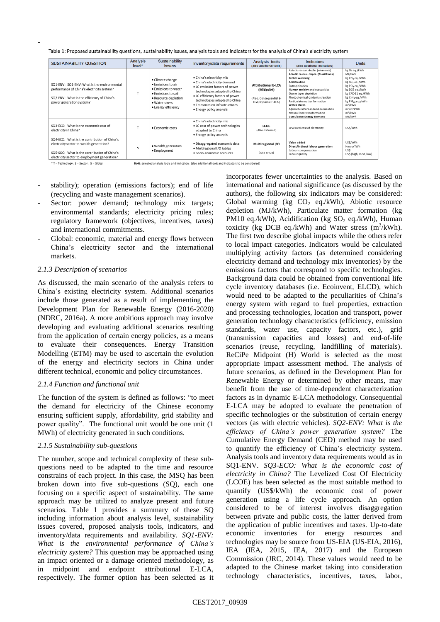Table 1: Proposed sustainability questions, sustainability issues, analysis tools and indicators for the analysis of China's electricity system

| SUSTAINABILITY QUESTION                                                                                                                                                                  | Analysis<br>level*                                                                                   | Sustainability<br><i>issues</i>                                                                                                                                | Inventory/data requirements                                                                                                                                                                                                                                     | Analysis tools<br>(also additional tools)                                                  | <b>Indicators</b><br>(also additional indicators)                                                                                                                                                                                                                                                                                                                                            | <b>Units</b>                                                                                                                                                                                                                                                                          |
|------------------------------------------------------------------------------------------------------------------------------------------------------------------------------------------|------------------------------------------------------------------------------------------------------|----------------------------------------------------------------------------------------------------------------------------------------------------------------|-----------------------------------------------------------------------------------------------------------------------------------------------------------------------------------------------------------------------------------------------------------------|--------------------------------------------------------------------------------------------|----------------------------------------------------------------------------------------------------------------------------------------------------------------------------------------------------------------------------------------------------------------------------------------------------------------------------------------------------------------------------------------------|---------------------------------------------------------------------------------------------------------------------------------------------------------------------------------------------------------------------------------------------------------------------------------------|
| SQ1-ENV: SQ1-ENV: What is the environmental<br>performance of China's electricity system?<br>SQ2-ENV: What is the efficiency of China's<br>power generation system?                      |                                                                                                      | • Climate change<br>• Emissions to air<br>$\bullet$ Emissions to water<br>• Emissions to soil<br>• Resource depletion<br>· Water stress<br>• Energy efficiency | · China's electricity mix<br>• China's electricity demand<br>. LC emission factors of power<br>technologies adapted to China<br>. LC efficiency factors of power<br>technologies adapted to China<br>· Transmission infrastructures<br>• Energy policy analysis | <b>Attributional E-LCA</b><br>(Midpoint)<br>(Also: Consequential E-<br>LCA; Dynamic E-LCA) | Abiotic resour. deple. (elements)<br>Abiotic resour. deple. (fossil fuels)<br>Global warming<br><b>Acidification</b><br>Eutrophication<br>Human toxicity and ecotoxicity<br>Ozone laver depletion<br>Photochemical oxidants creation<br>Particulate matter formation<br>Water stress<br>Agricultural/urban land occupation<br>Natural land transformation<br><b>Cumulative Energy Demand</b> | kg Sb eq./kWh<br>MJ/kWh<br>kg CO <sub>2</sub> eq./kWh<br>kg SO <sub>2</sub> eq./kWh<br>kg PO <sub>4</sub> eq./kWh<br>kg DCB eg./kWh<br>kg CFC-11 eq./kWh<br>kg C <sub>2</sub> H <sub>4</sub> eq./kWh<br>kg PM10 eq./kWh<br>$m^3/kWh$<br>m <sup>2</sup> /vr/kWh<br>$m^2/kWh$<br>MJ/KWh |
| SQ3-ECO: What is the economic cost of<br>electricity in China?                                                                                                                           |                                                                                                      | · Economic costs                                                                                                                                               | • China's electricity mix<br>. LC cost of power technologies<br>adapted to China<br>• Energy policy analysis                                                                                                                                                    | LCOE<br>(Also: Extern-E)                                                                   | Levelized cost of electricity                                                                                                                                                                                                                                                                                                                                                                | USS/kWh                                                                                                                                                                                                                                                                               |
| SQ4-ECO: What is the contribution of China's<br>electricity sector to wealth generation?<br>SQ5-SOC: What is the contribution of China's<br>electricity sector to employment generation? | S                                                                                                    | • Wealth generation<br>• Employment                                                                                                                            | · Disaggregated economic data<br>· Multiregional I/O tables<br>· Socio-economic accounts                                                                                                                                                                        | Multiregional I/O<br>(Also SHDB)                                                           | Value added<br>Direct/indirect labour generation<br>Labour compensation<br>Labour quality                                                                                                                                                                                                                                                                                                    | USS/kWh<br>Hours/TWh<br><b>USS</b><br>US\$ (high, med, low)                                                                                                                                                                                                                           |
| * T = Technology; S = Sector; G = Global                                                                                                                                                 | Bold: selected analysis tools and indicators (also additional tools and indicators to be considered) |                                                                                                                                                                |                                                                                                                                                                                                                                                                 |                                                                                            |                                                                                                                                                                                                                                                                                                                                                                                              |                                                                                                                                                                                                                                                                                       |

- stability); operation (emissions factors); end of life (recycling and waste management scenarios).
- Sector: power demand; technology mix targets; environmental standards; electricity pricing rules; regulatory framework (objectives, incentives, taxes) and international commitments.
- Global: economic, material and energy flows between China's electricity sector and the international markets.

#### *2.1.3 Description of scenarios*

-

As discussed, the main scenario of the analysis refers to China's existing electricity system. Additional scenarios include those generated as a result of implementing the Development Plan for Renewable Energy (2016-2020) (NDRC, 2016a). A more ambitious approach may involve developing and evaluating additional scenarios resulting from the application of certain energy policies, as a means to evaluate their consequences. Energy Transition Modelling (ETM) may be used to ascertain the evolution of the energy and electricity sectors in China under different technical, economic and policy circumstances.

# *2.1.4 Function and functional unit*

The function of the system is defined as follows: "to meet the demand for electricity of the Chinese economy ensuring sufficient supply, affordability, grid stability and power quality". The functional unit would be one unit (1) MWh) of electricity generated in such conditions.

#### *2.1.5 Sustainability sub-questions*

The number, scope and technical complexity of these subquestions need to be adapted to the time and resource constrains of each project. In this case, the MSQ has been broken down into five sub-questions (SQ), each one focusing on a specific aspect of sustainability. The same approach may be utilized to analyze present and future scenarios. Table 1 provides a summary of these SQ including information about analysis level, sustainability issues covered, proposed analysis tools, indicators, and inventory/data requirements and availability. *SQ1-ENV: What is the environmental performance of China's electricity system?* This question may be approached using an impact oriented or a damage oriented methodology, as in midpoint and endpoint attributional E-LCA, respectively. The former option has been selected as it incorporates fewer uncertainties to the analysis. Based on international and national significance (as discussed by the authors), the following six indicators may be considered: Global warming (kg  $CO<sub>2</sub>$  eq./kWh), Abiotic resource depletion (MJ/kWh), Particulate matter formation (kg PM10 eq./kWh), Acidification (kg  $SO_2$  eq./kWh), Human toxicity (kg DCB eq./kWh) and Water stress  $(m^3/kWh)$ . The first two describe global impacts while the others refer to local impact categories. Indicators would be calculated multiplying activity factors (as determined considering electricity demand and technology mix inventories) by the emissions factors that correspond to specific technologies. Background data could be obtained from conventional life cycle inventory databases (i.e. Ecoinvent, ELCD), which would need to be adapted to the peculiarities of China's energy system with regard to fuel properties, extraction and processing technologies, location and transport, power generation technology characteristics (efficiency, emission standards, water use, capacity factors, etc.), grid (transmission capacities and losses) and end-of-life scenarios (reuse, recycling, landfilling of materials). ReCiPe Midpoint (H) World is selected as the most appropriate impact assessment method. The analysis of future scenarios, as defined in the Development Plan for Renewable Energy or determined by other means, may benefit from the use of time-dependent characterization factors as in dynamic E-LCA methodology. Consequential E-LCA may be adopted to evaluate the penetration of specific technologies or the substitution of certain energy vectors (as with electric vehicles). *SQ2-ENV: What is the efficiency of China's power generation system?* The Cumulative Energy Demand (CED) method may be used to quantify the efficiency of China's electricity system. Analysis tools and inventory data requirements would as in SQ1-ENV. *SQ3-ECO: What is the economic cost of electricity in China?* The Levelized Cost Of Electricity (LCOE) has been selected as the most suitable method to quantify (US\$/kWh) the economic cost of power generation using a life cycle approach. An option considered to be of interest involves disaggregation between private and public costs, the latter derived from the application of public incentives and taxes. Up-to-date economic inventories for energy resources and technologies may be source from US-EIA (US-EIA, 2016), IEA (IEA, 2015, IEA, 2017) and the European Commission (JRC, 2014). These values would need to be adapted to the Chinese market taking into consideration technology characteristics, incentives, taxes, labor,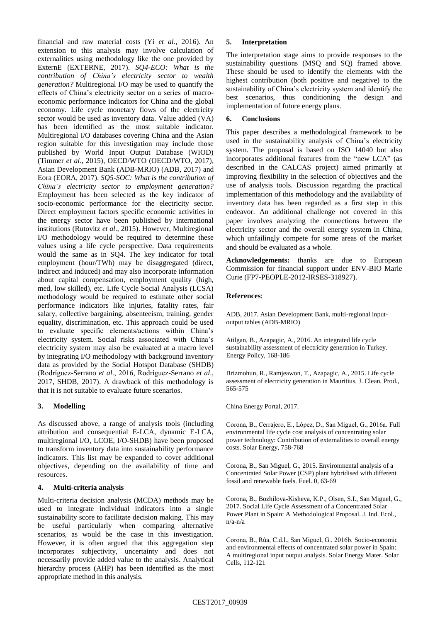financial and raw material costs (Yi *et al*., 2016). An extension to this analysis may involve calculation of externalities using methodology like the one provided by ExternE (EXTERNE, 2017). *SQ4-ECO: What is the contribution of China's electricity sector to wealth generation?* Multiregional I/O may be used to quantify the effects of China's electricity sector on a series of macroeconomic performance indicators for China and the global economy. Life cycle monetary flows of the electricity sector would be used as inventory data. Value added (VA) has been identified as the most suitable indicator. Multiregional I/O databases covering China and the Asian region suitable for this investigation may include those published by World Input Output Database (WIOD) (Timmer *et al*., 2015), OECD/WTO (OECD/WTO, 2017), Asian Development Bank (ADB-MRIO) (ADB, 2017) and Eora (EORA, 2017). *SQ5-SOC: What is the contribution of China's electricity sector to employment generation?* Employment has been selected as the key indicator of socio-economic performance for the electricity sector. Direct employment factors specific economic activities in the energy sector have been published by international institutions (Rutovitz *et al*., 2015). However, Multiregional I/O methodology would be required to determine these values using a life cycle perspective. Data requirements would the same as in SQ4. The key indicator for total employment (hour/TWh) may be disaggregated (direct, indirect and induced) and may also incorporate information about capital compensation, employment quality (high, med, low skilled), etc. Life Cycle Social Analysis (LCSA) methodology would be required to estimate other social performance indicators like injuries, fatality rates, fair salary, collective bargaining, absenteeism, training, gender equality, discrimination, etc. This approach could be used to evaluate specific elements/actions within China's electricity system. Social risks associated with China's electricity system may also be evaluated at a macro level by integrating I/O methodology with background inventory data as provided by the Social Hotspot Database (SHDB) (Rodríguez-Serrano *et al*., 2016, Rodríguez-Serrano *et al*., 2017, SHDB, 2017). A drawback of this methodology is that it is not suitable to evaluate future scenarios.

# **3. Modelling**

As discussed above, a range of analysis tools (including attribution and consequential E-LCA, dynamic E-LCA, multiregional I/O, LCOE, I/O-SHDB) have been proposed to transform inventory data into sustainability performance indicators. This list may be expanded to cover additional objectives, depending on the availability of time and resources.

#### **4. Multi-criteria analysis**

Multi-criteria decision analysis (MCDA) methods may be used to integrate individual indicators into a single sustainability score to facilitate decision making. This may be useful particularly when comparing alternative scenarios, as would be the case in this investigation. However, it is often argued that this aggregation step incorporates subjectivity, uncertainty and does not necessarily provide added value to the analysis. Analytical hierarchy process (AHP) has been identified as the most appropriate method in this analysis.

### **5. Interpretation**

The interpretation stage aims to provide responses to the sustainability questions (MSQ and SQ) framed above. These should be used to identify the elements with the highest contribution (both positive and negative) to the sustainability of China's electricity system and identify the best scenarios, thus conditioning the design and implementation of future energy plans.

## **6. Conclusions**

This paper describes a methodological framework to be used in the sustainability analysis of China's electricity system. The proposal is based on ISO 14040 but also incorporates additional features from the "new LCA" (as described in the CALCAS project) aimed primarily at improving flexibility in the selection of objectives and the use of analysis tools. Discussion regarding the practical implementation of this methodology and the availability of inventory data has been regarded as a first step in this endeavor. An additional challenge not covered in this paper involves analyzing the connections between the electricity sector and the overall energy system in China, which unfailingly compete for some areas of the market and should be evaluated as a whole.

**Acknowledgements:** thanks are due to European Commission for financial support under ENV-BIO Marie Curie (FP7-PEOPLE-2012-IRSES-318927).

### **References**:

ADB, 2017. Asian Development Bank, multi-regional inputoutput tables (ADB-MRIO)

Atilgan, B., Azapagic, A., 2016. An integrated life cycle sustainability assessment of electricity generation in Turkey. Energy Policy, 168-186

Brizmohun, R., Ramjeawon, T., Azapagic, A., 2015. Life cycle assessment of electricity generation in Mauritius. J. Clean. Prod., 565-575

China Energy Portal, 2017.

Corona, B., Cerrajero, E., López, D., San Miguel, G., 2016a. Full environmental life cycle cost analysis of concentrating solar power technology: Contribution of externalities to overall energy costs. Solar Energy, 758-768

Corona, B., San Miguel, G., 2015. Environmental analysis of a Concentrated Solar Power (CSP) plant hybridised with different fossil and renewable fuels. Fuel. 0, 63-69

Corona, B., Bozhilova-Kisheva, K.P., Olsen, S.I., San Miguel, G., 2017. Social Life Cycle Assessment of a Concentrated Solar Power Plant in Spain: A Methodological Proposal. J. Ind. Ecol., n/a-n/a

Corona, B., Rúa, C.d.l., San Miguel, G., 2016b. Socio-economic and environmental effects of concentrated solar power in Spain: A multiregional input output analysis. Solar Energy Mater. Solar Cells, 112-121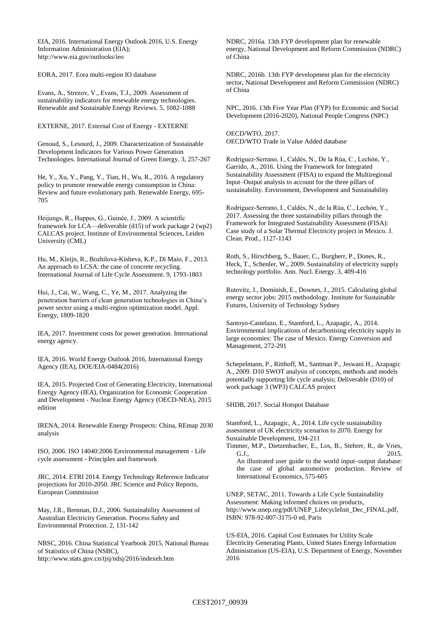EIA, 2016. International Energy Outlook 2016, U.S. Energy Information Administration (EIA); <http://www.eia.gov/outlooks/ieo>

EORA, 2017. Eora multi-region IO database

Evans, A., Strezov, V., Evans, T.J., 2009. Assessment of sustainability indicators for renewable energy technologies. Renewable and Sustainable Energy Reviews. 5, 1082-1088

EXTERNE, 2017. External Cost of Energy - EXTERNE

Genoud, S., Lesourd, J., 2009. Characterization of Sustainable Development Indicators for Various Power Generation Technologies. International Journal of Green Energy. 3, 257-267

He, Y., Xu, Y., Pang, Y., Tian, H., Wu, R., 2016. A regulatory policy to promote renewable energy consumption in China: Review and future evolutionary path. Renewable Energy, 695- 705

Heijungs, R., Huppes, G., Guinée, J., 2009. A scientific framework for LCA—deliverable (d15) of work package 2 (wp2) CALCAS project. Institute of Environmental Sciences, Leiden University (CML)

Hu, M., Kleijn, R., Bozhilova-Kisheva, K.P., Di Maio, F., 2013. An approach to LCSA: the case of concrete recycling. International Journal of Life Cycle Assessment. 9, 1793-1803

Hui, J., Cai, W., Wang, C., Ye, M., 2017. Analyzing the penetration barriers of clean generation technologies in China's power sector using a multi-region optimization model. Appl. Energy, 1809-1820

IEA, 2017. Investment costs for power generation. International energy agency.

IEA, 2016. World Energy Outlook 2016, International Energy Agency (IEA), DOE/EIA-0484(2016)

IEA, 2015. Projected Cost of Generating Electricity, International Energy Agency (IEA), Organization for Economic Cooperation and Development - Nuclear Energy Agency (OECD-NEA), 2015 edition

IRENA, 2014. Renewable Energy Prospects: China, REmap 2030 analysis

ISO, 2006. ISO 14040:2006 Environmental management - Life cycle assessment - Principles and framework

JRC, 2014. ETRI 2014. Energy Technology Reference Indicator projections for 2010-2050. JRC Science and Policy Reports, European Commission

May, J.R., Brennan, D.J., 2006. Sustainability Assessment of Australian Electricity Generation. Process Safety and Environmental Protection. 2, 131-142

NBSC, 2016. China Statistical Yearbook 2015, National Bureau of Statistics of China (NSBC), <http://www.stats.gov.cn/tjsj/ndsj/2016/indexeh.htm>

NDRC, 2016a. 13th FYP development plan for renewable energy, National Development and Reform Commission (NDRC) of China

NDRC, 2016b. 13th FYP development plan for the electricity sector, National Development and Reform Commission (NDRC) of China

NPC, 2016. 13th Five Year Plan (FYP) for Economic and Social Development (2016-2020), National People Congress (NPC)

OECD/WTO, 2017. OECD/WTO Trade in Value Added database

Rodríguez-Serrano, I., Caldés, N., De la Rúa, C., Lechón, Y., Garrido, A., 2016. Using the Framework for Integrated Sustainability Assessment (FISA) to expand the Multiregional Input–Output analysis to account for the three pillars of sustainability. Environment, Development and Sustainability

Rodríguez-Serrano, I., Caldés, N., de la Rúa, C., Lechón, Y., 2017. Assessing the three sustainability pillars through the Framework for Integrated Sustainability Assessment (FISA): Case study of a Solar Thermal Electricity project in Mexico. J. Clean. Prod., 1127-1143

Roth, S., Hirschberg, S., Bauer, C., Burgherr, P., Dones, R., Heck, T., Schenler, W., 2009. Sustainability of electricity supply technology portfolio. Ann. Nucl. Energy. 3, 409-416

Rutovitz, J., Dominish, E., Downes, J., 2015. Calculating global energy sector jobs: 2015 methodology. Institute for Sustainable Futures, University of Technology Sydney

Santoyo-Castelazo, E., Stamford, L., Azapagic, A., 2014. Environmental implications of decarbonising electricity supply in large economies: The case of Mexico. Energy Conversion and Management, 272-291

Schepelmann, P., Ritthoff, M., Santman P., Jeswani H., Azapagic A., 2009. D10 SWOT analysis of concepts, methods and models potentially supporting life cycle analysis; Deliverable (D10) of work package 3 (WP3) CALCAS project

SHDB, 2017. Social Hotspot Database

Stamford, L., Azapagic, A., 2014. Life cycle sustainability assessment of UK electricity scenarios to 2070. Energy for Sustainable Development, 194-211

Timmer, M.P., Dietzenbacher, E., Los, B., Stehrer, R., de Vries, G.J., 2015. An illustrated user guide to the world input–output database: the case of global automotive production. Review of International Economics, 575-605

UNEP, SETAC, 2011. Towards a Life Cycle Sustainability Assessment: Making informed choices on products, [http://www.unep.org/pdf/UNEP\\_LifecycleInit\\_Dec\\_FINAL.pdf,](http://www.unep.org/pdf/UNEP_LifecycleInit_Dec_FINAL.pdf) ISBN: 978-92-807-3175-0 ed, Paris

US-EIA, 2016. Capital Cost Estimates for Utility Scale Electricity Generating Plants, United States Energy Information Administration (US-EIA), U.S. Department of Energy, November 2016